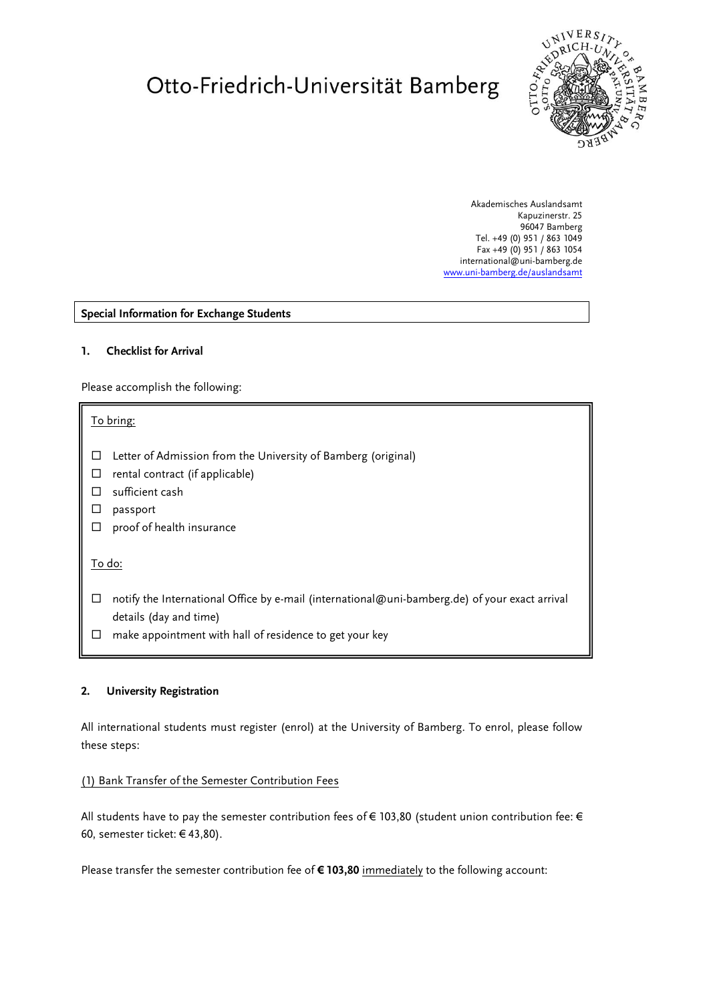# Otto-Friedrich-Universität Bamberg



Akademisches Auslandsamt Kapuzinerstr. 25 96047 Bamberg Tel. +49 (0) 951 / 863 1049 Fax +49 (0) 951 / 863 1054 international@uni-bamberg.de [www.uni-bamberg.de/auslandsamt](http://www.uni-bamberg.de/auslandsamt)

#### **Special Information for Exchange Students**

#### **1. Checklist for Arrival**

Please accomplish the following:

#### To bring:

- $\Box$  Letter of Admission from the University of Bamberg (original)
- $\Box$  rental contract (if applicable)
- $\square$  sufficient cash
- $\square$  passport
- $\square$  proof of health insurance

To do:

- $\Box$  notify the International Office by e-mail (international@uni-bamberg.de) of your exact arrival details (day and time)
- $\Box$  make appointment with hall of residence to get your key

#### **2. University Registration**

All international students must register (enrol) at the University of Bamberg. To enrol, please follow these steps:

#### (1) Bank Transfer of the Semester Contribution Fees

All students have to pay the semester contribution fees of € 103,80 (student union contribution fee: € 60, semester ticket: € 43,80).

Please transfer the semester contribution fee of **€ 103,80** immediately to the following account: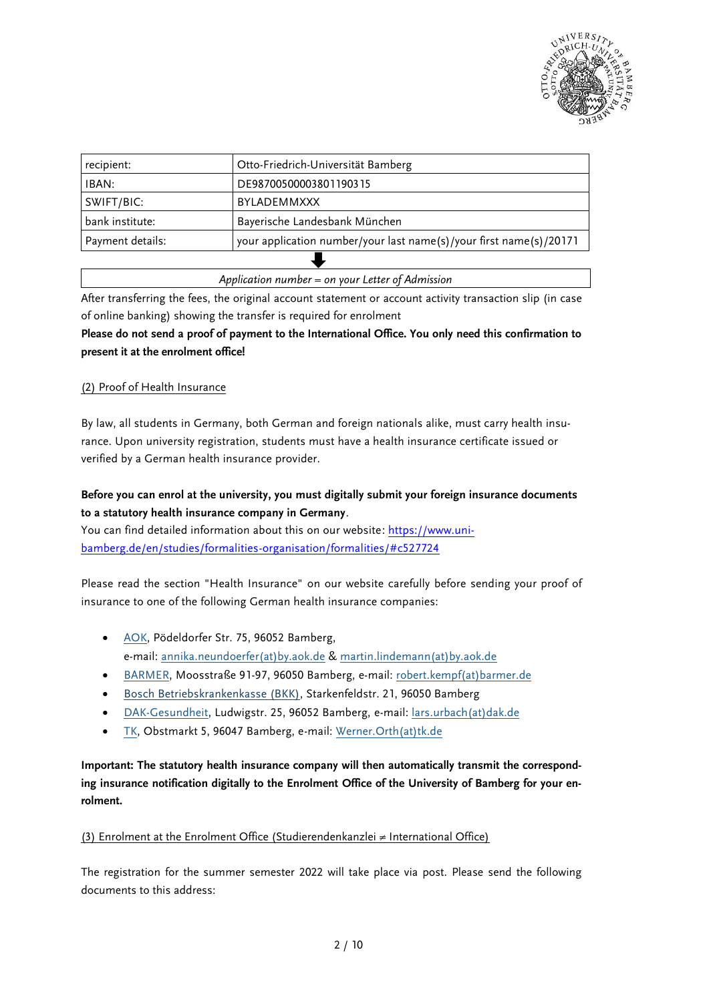

| recipient:       | Otto-Friedrich-Universität Bamberg                                 |  |
|------------------|--------------------------------------------------------------------|--|
| IBAN:            | DE98700500003801190315                                             |  |
| SWIFT/BIC:       | BYLADEMMXXX                                                        |  |
| bank institute:  | Bayerische Landesbank München                                      |  |
| Payment details: | your application number/your last name(s)/your first name(s)/20171 |  |
|                  |                                                                    |  |

*Application number = on your Letter of Admission*

After transferring the fees, the original account statement or account activity transaction slip (in case of online banking) showing the transfer is required for enrolment

**Please do not send a proof of payment to the International Office. You only need this confirmation to present it at the enrolment office!**

# (2) Proof of Health Insurance

By law, all students in Germany, both German and foreign nationals alike, must carry health insurance. Upon university registration, students must have a health insurance certificate issued or verified by a German health insurance provider.

# **Before you can enrol at the university, you must digitally submit your foreign insurance documents to a statutory health insurance company in Germany**.

You can find detailed information about this on our website: [https://www.uni](https://www.uni-bamberg.de/en/studies/formalities-organisation/formalities/#c527724)[bamberg.de/en/studies/formalities-organisation/formalities/#c527724](https://www.uni-bamberg.de/en/studies/formalities-organisation/formalities/#c527724)

Please read the section "Health Insurance" on our website carefully before sending your proof of insurance to one of the following German health insurance companies:

- [AOK,](https://www.aok.de/pk/bayern/kontakt/aok-vor-ort/) Pödeldorfer Str. 75, 96052 Bamberg, e-mail: [annika.neundoerfer\(at\)by.aok.de](mailto:annika.neundoerfer@by.aok.de) & [martin.lindemann\(at\)by.aok.de](mailto:martin.lindemann@by.aok.de)
- [BARMER,](http://www.barmer.de/) Moosstraße 91-97, 96050 Bamberg, e-mail: [robert.kempf\(at\)barmer.de](mailto:robert.kempf@barmer.de)
- [Bosch Betriebskrankenkasse \(BKK\),](https://www.bosch-bkk.de/de/bkk/start/startpage.html) Starkenfeldstr. 21, 96050 Bamberg
- [DAK-Gesundheit,](http://www.dak.de/) Ludwigstr. 25, 96052 Bamberg, e-mail: [lars.urbach\(at\)dak.de](mailto:lars.urbach@dak.de)
- [TK,](https://www.tk.de/techniker) Obstmarkt 5, 96047 Bamberg, e-mail: [Werner.Orth\(at\)tk.de](mailto:Werner.Orth@tk.de)

**Important: The statutory health insurance company will then automatically transmit the corresponding insurance notification digitally to the Enrolment Office of the University of Bamberg for your enrolment.**

# (3) Enrolment at the Enrolment Office (Studierendenkanzlei ≠ International Office)

The registration for the summer semester 2022 will take place via post. Please send the following documents to this address: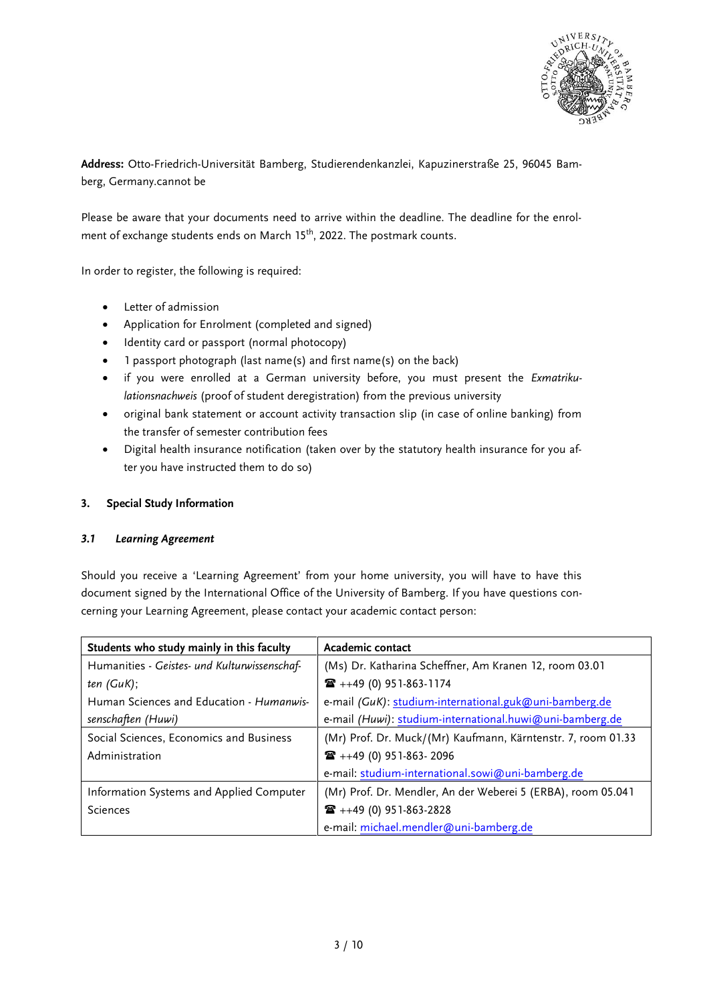

**Address:** Otto-Friedrich-Universität Bamberg, Studierendenkanzlei, Kapuzinerstraße 25, 96045 Bamberg, Germany.cannot be

Please be aware that your documents need to arrive within the deadline. The deadline for the enrolment of exchange students ends on March 15<sup>th</sup>, 2022. The postmark counts.

In order to register, the following is required:

- Letter of admission
- Application for Enrolment (completed and signed)
- Identity card or passport (normal photocopy)
- 1 passport photograph (last name(s) and first name(s) on the back)
- if you were enrolled at a German university before, you must present the *Exmatrikulationsnachweis* (proof of student deregistration) from the previous university
- original bank statement or account activity transaction slip (in case of online banking) from the transfer of semester contribution fees
- Digital health insurance notification (taken over by the statutory health insurance for you after you have instructed them to do so)

# **3. Special Study Information**

# *3.1 Learning Agreement*

Should you receive a 'Learning Agreement' from your home university, you will have to have this document signed by the International Office of the University of Bamberg. If you have questions concerning your Learning Agreement, please contact your academic contact person:

| Students who study mainly in this faculty    | Academic contact                                             |
|----------------------------------------------|--------------------------------------------------------------|
| Humanities - Geistes- und Kulturwissenschaf- | (Ms) Dr. Katharina Scheffner, Am Kranen 12, room 03.01       |
| ten(GuK);                                    | $\mathbf{R}$ ++49 (0) 951-863-1174                           |
| Human Sciences and Education - Humanwis-     | e-mail (GuK): studium-international.guk@uni-bamberg.de       |
| senschaften (Huwi)                           | e-mail (Huwi): studium-international.huwi@uni-bamberg.de     |
| Social Sciences, Economics and Business      | (Mr) Prof. Dr. Muck/(Mr) Kaufmann, Kärntenstr. 7, room 01.33 |
| Administration                               | $\mathbf{R}$ ++49 (0) 951-863-2096                           |
|                                              | e-mail: studium-international.sowi@uni-bamberg.de            |
| Information Systems and Applied Computer     | (Mr) Prof. Dr. Mendler, An der Weberei 5 (ERBA), room 05.041 |
| Sciences                                     | $\mathbf{R}$ ++49 (0) 951-863-2828                           |
|                                              | e-mail: michael.mendler@uni-bamberg.de                       |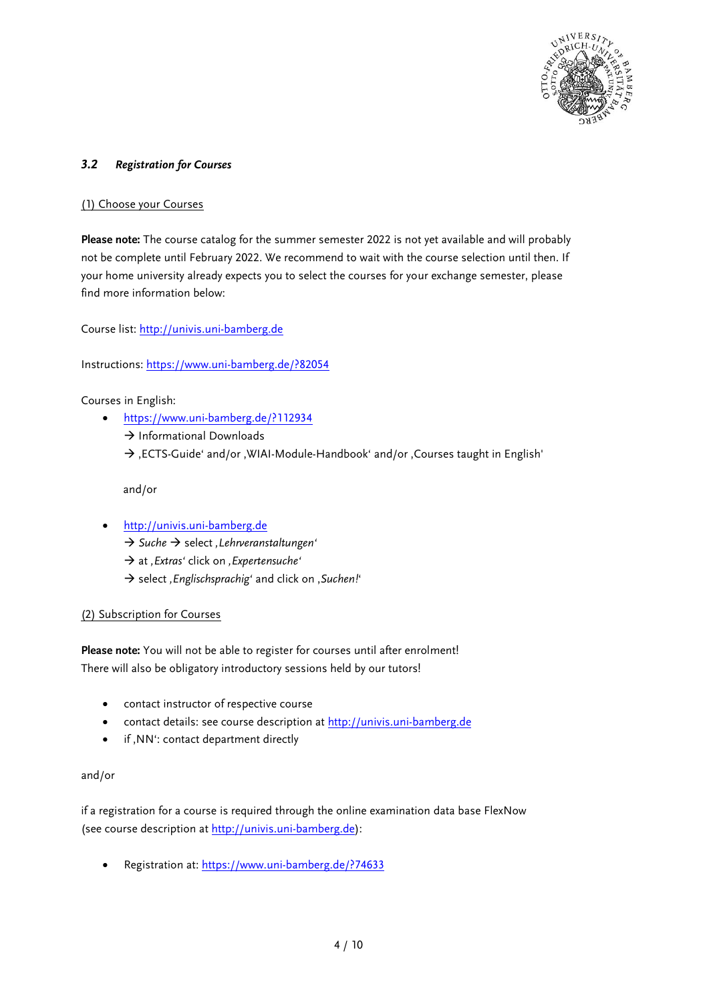

# *3.2 Registration for Courses*

# (1) Choose your Courses

**Please note:** The course catalog for the summer semester 2022 is not yet available and will probably not be complete until February 2022. We recommend to wait with the course selection until then. If your home university already expects you to select the courses for your exchange semester, please find more information below:

Course list: [http://univis.uni-bamberg.de](http://univis.uni-bamberg.de/)

Instructions:<https://www.uni-bamberg.de/?82054>

Courses in English:

- <https://www.uni-bamberg.de/?112934>
	- $\rightarrow$  Informational Downloads
	- $\rightarrow$  , ECTS-Guide' and/or , WIAI-Module-Handbook' and/or , Courses taught in English'

and/or

- [http://univis.uni-bamberg.de](http://univis.uni-bamberg.de/)
	- $\rightarrow$  Suche  $\rightarrow$  select, Lehrveranstaltungen<sup>4</sup>
	- $\rightarrow$  at *, Extras'* click on , Expertensuche'
	- $\rightarrow$  select, *Englischsprachig'* and click on, *Suchen!'*

# (2) Subscription for Courses

**Please note:** You will not be able to register for courses until after enrolment! There will also be obligatory introductory sessions held by our tutors!

- contact instructor of respective course
- contact details: see course description at [http://univis.uni-bamberg.de](http://univis.uni-bamberg.de/)
- if , NN<sup>t</sup>: contact department directly

# and/or

if a registration for a course is required through the online examination data base FlexNow (see course description a[t http://univis.uni-bamberg.de\)](http://univis.uni-bamberg.de/):

Registration at:<https://www.uni-bamberg.de/?74633>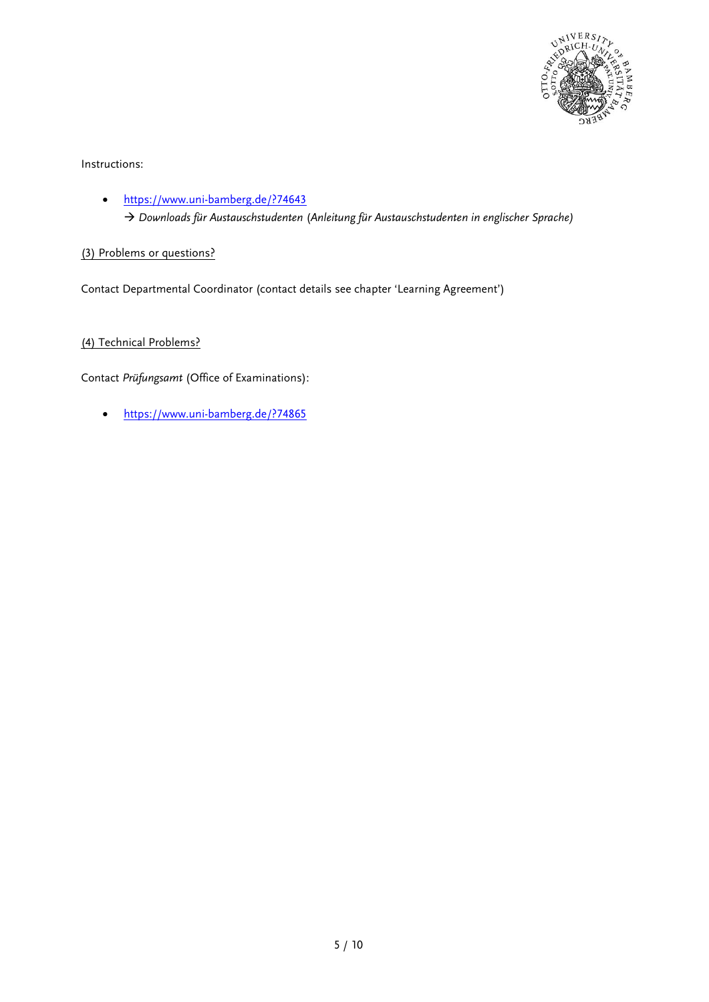

Instructions:

 https://www.uni-bamberg.de/?74643 *Downloads für Austauschstudenten* (*Anleitung für Austauschstudenten in englischer Sprache)*

(3) Problems or questions?

Contact Departmental Coordinator (contact details see chapter 'Learning Agreement')

(4) Technical Problems?

Contact *Prüfungsamt* (Office of Examinations):

https://www.uni-bamberg.de/?74865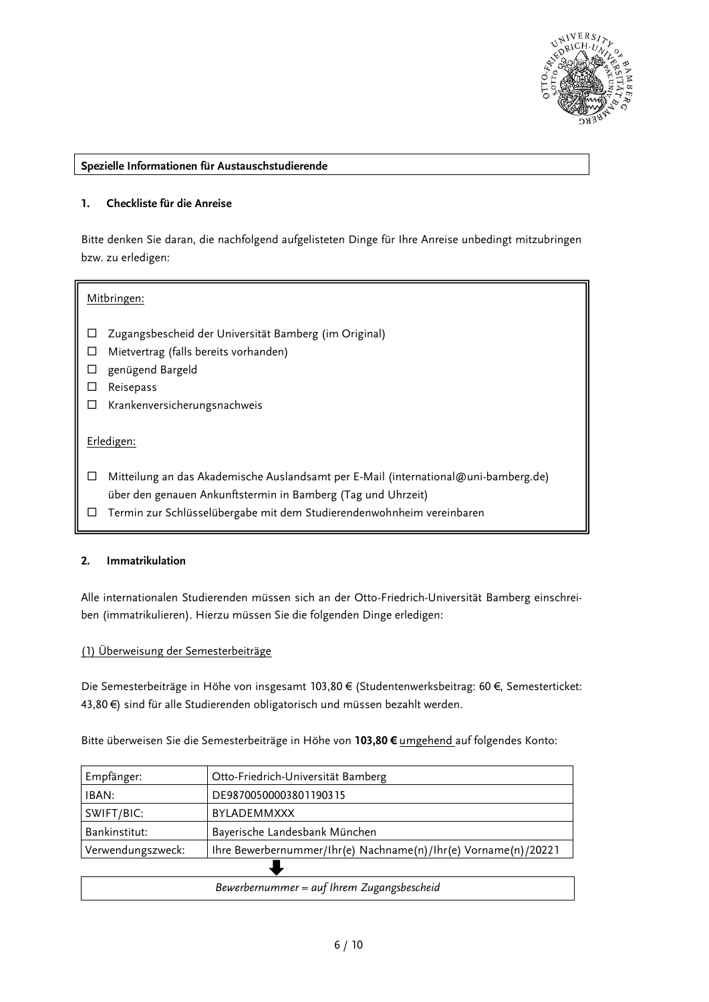

#### **Spezielle Informationen für Austauschstudierende**

# **1. Checkliste für die Anreise**

Bitte denken Sie daran, die nachfolgend aufgelisteten Dinge für Ihre Anreise unbedingt mitzubringen bzw. zu erledigen:

#### Mitbringen:

- Zugangsbescheid der Universität Bamberg (im Original)
- $\Box$  Mietvertrag (falls bereits vorhanden)
- genügend Bargeld
- Reisepass
- $\Box$  Krankenversicherungsnachweis

# Erledigen:

- Mitteilung an das Akademische Auslandsamt per E-Mail (international@uni-bamberg.de) über den genauen Ankunftstermin in Bamberg (Tag und Uhrzeit)
- Termin zur Schlüsselübergabe mit dem Studierendenwohnheim vereinbaren

# **2. Immatrikulation**

Alle internationalen Studierenden müssen sich an der Otto-Friedrich-Universität Bamberg einschreiben (immatrikulieren). Hierzu müssen Sie die folgenden Dinge erledigen:

# (1) Überweisung der Semesterbeiträge

Die Semesterbeiträge in Höhe von insgesamt 103,80 € (Studentenwerksbeitrag: 60 €, Semesterticket: 43,80 €) sind für alle Studierenden obligatorisch und müssen bezahlt werden.

Bitte überweisen Sie die Semesterbeiträge in Höhe von **103,80 €** umgehend auf folgendes Konto:

| Empfänger:                                 | Otto-Friedrich-Universität Bamberg                             |  |
|--------------------------------------------|----------------------------------------------------------------|--|
| IBAN:                                      | DE98700500003801190315                                         |  |
| SWIFT/BIC:                                 | <b>BYLADEMMXXX</b>                                             |  |
| Bankinstitut:                              | Bayerische Landesbank München                                  |  |
| Verwendungszweck:                          | Ihre Bewerbernummer/Ihr(e) Nachname(n)/Ihr(e) Vorname(n)/20221 |  |
|                                            |                                                                |  |
| Bewerbernummer = auf Ihrem Zugangsbescheid |                                                                |  |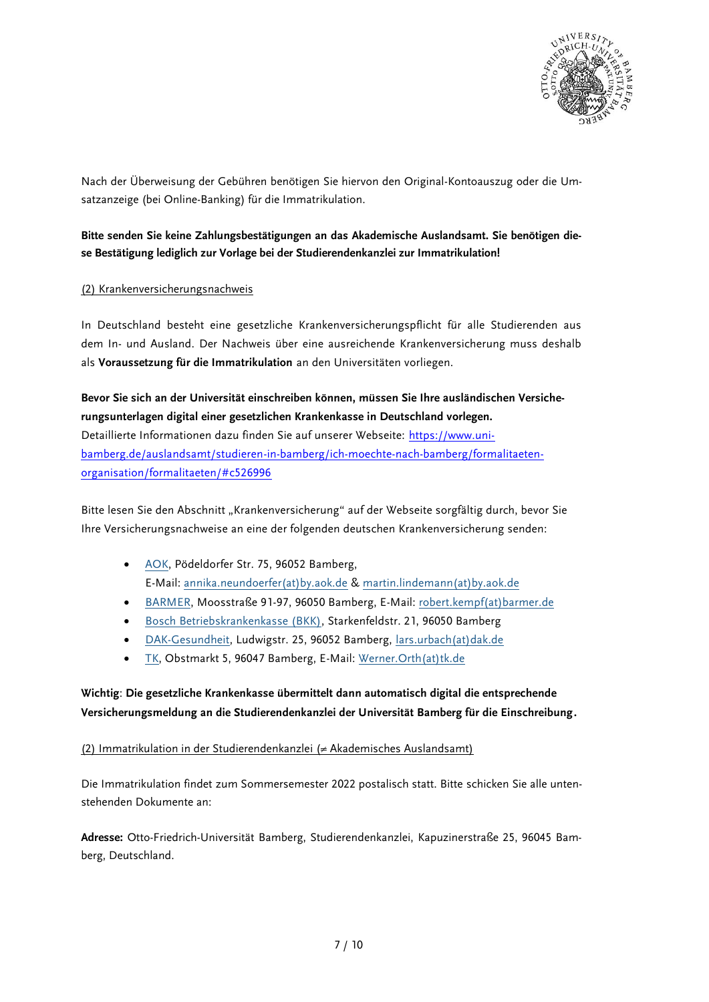

Nach der Überweisung der Gebühren benötigen Sie hiervon den Original-Kontoauszug oder die Umsatzanzeige (bei Online-Banking) für die Immatrikulation.

# **Bitte senden Sie keine Zahlungsbestätigungen an das Akademische Auslandsamt. Sie benötigen diese Bestätigung lediglich zur Vorlage bei der Studierendenkanzlei zur Immatrikulation!**

# (2) Krankenversicherungsnachweis

In Deutschland besteht eine gesetzliche Krankenversicherungspflicht für alle Studierenden aus dem In- und Ausland. Der Nachweis über eine ausreichende Krankenversicherung muss deshalb als **Voraussetzung für die Immatrikulation** an den Universitäten vorliegen.

**Bevor Sie sich an der Universität einschreiben können, müssen Sie Ihre ausländischen Versicherungsunterlagen digital einer gesetzlichen Krankenkasse in Deutschland vorlegen.**  Detaillierte Informationen dazu finden Sie auf unserer Webseite: [https://www.uni](https://www.uni-bamberg.de/auslandsamt/studieren-in-bamberg/ich-moechte-nach-bamberg/formalitaeten-organisation/formalitaeten/#c526996)[bamberg.de/auslandsamt/studieren-in-bamberg/ich-moechte-nach-bamberg/formalitaeten](https://www.uni-bamberg.de/auslandsamt/studieren-in-bamberg/ich-moechte-nach-bamberg/formalitaeten-organisation/formalitaeten/#c526996)[organisation/formalitaeten/#c526996](https://www.uni-bamberg.de/auslandsamt/studieren-in-bamberg/ich-moechte-nach-bamberg/formalitaeten-organisation/formalitaeten/#c526996)

Bitte lesen Sie den Abschnitt "Krankenversicherung" auf der Webseite sorgfältig durch, bevor Sie Ihre Versicherungsnachweise an eine der folgenden deutschen Krankenversicherung senden:

- [AOK,](https://www.aok.de/pk/bayern/kontakt/aok-vor-ort/) Pödeldorfer Str. 75, 96052 Bamberg, E-Mail: [annika.neundoerfer\(at\)by.aok.de](mailto:annika.neundoerfer@by.aok.de) & [martin.lindemann\(at\)by.aok.de](mailto:martin.lindemann@by.aok.de)
- [BARMER,](https://www.barmer.de/) Moosstraße 91-97, 96050 Bamberg, E-Mail: [robert.kempf\(at\)barmer.de](mailto:robert.kempf@barmer.de)
- [Bosch Betriebskrankenkasse \(BKK\),](https://www.bosch-bkk.de/de/bkk/start/startpage.html) Starkenfeldstr. 21, 96050 Bamberg
- [DAK-Gesundheit,](https://www.dak.de/#/) Ludwigstr. 25, 96052 Bamberg, [lars.urbach\(at\)dak.de](mailto:lars.urbach@dak.de)
- [TK,](https://www.tk.de/techniker) Obstmarkt 5, 96047 Bamberg, E-Mail: [Werner.Orth\(at\)tk.de](mailto:Werner.Orth@tk.de)

# **Wichtig**: **Die gesetzliche Krankenkasse übermittelt dann automatisch digital die entsprechende Versicherungsmeldung an die Studierendenkanzlei der Universität Bamberg für die Einschreibung.**

# (2) Immatrikulation in der Studierendenkanzlei (≠ Akademisches Auslandsamt)

Die Immatrikulation findet zum Sommersemester 2022 postalisch statt. Bitte schicken Sie alle untenstehenden Dokumente an:

**Adresse:** Otto-Friedrich-Universität Bamberg, Studierendenkanzlei, Kapuzinerstraße 25, 96045 Bamberg, Deutschland.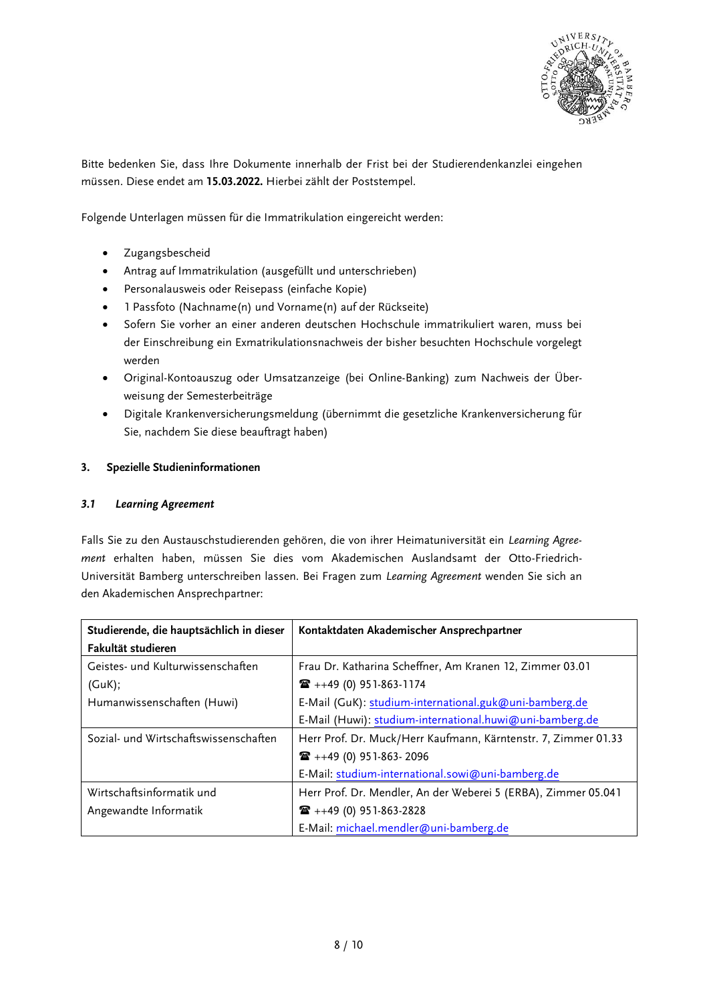

Bitte bedenken Sie, dass Ihre Dokumente innerhalb der Frist bei der Studierendenkanzlei eingehen müssen. Diese endet am **15.03.2022.** Hierbei zählt der Poststempel.

Folgende Unterlagen müssen für die Immatrikulation eingereicht werden:

- Zugangsbescheid
- Antrag auf Immatrikulation (ausgefüllt und unterschrieben)
- Personalausweis oder Reisepass (einfache Kopie)
- 1 Passfoto (Nachname(n) und Vorname(n) auf der Rückseite)
- Sofern Sie vorher an einer anderen deutschen Hochschule immatrikuliert waren, muss bei der Einschreibung ein Exmatrikulationsnachweis der bisher besuchten Hochschule vorgelegt werden
- Original-Kontoauszug oder Umsatzanzeige (bei Online-Banking) zum Nachweis der Überweisung der Semesterbeiträge
- Digitale Krankenversicherungsmeldung (übernimmt die gesetzliche Krankenversicherung für Sie, nachdem Sie diese beauftragt haben)

# **3. Spezielle Studieninformationen**

# *3.1 Learning Agreement*

Falls Sie zu den Austauschstudierenden gehören, die von ihrer Heimatuniversität ein *Learning Agreement* erhalten haben, müssen Sie dies vom Akademischen Auslandsamt der Otto-Friedrich-Universität Bamberg unterschreiben lassen. Bei Fragen zum *Learning Agreement* wenden Sie sich an den Akademischen Ansprechpartner:

| Studierende, die hauptsächlich in dieser | Kontaktdaten Akademischer Ansprechpartner                      |
|------------------------------------------|----------------------------------------------------------------|
| Fakultät studieren                       |                                                                |
| Geistes- und Kulturwissenschaften        | Frau Dr. Katharina Scheffner, Am Kranen 12, Zimmer 03.01       |
| (GuK);                                   | $\mathbf{R}$ ++49 (0) 951-863-1174                             |
| Humanwissenschaften (Huwi)               | E-Mail (GuK): studium-international.guk@uni-bamberg.de         |
|                                          | E-Mail (Huwi): studium-international.huwi@uni-bamberg.de       |
| Sozial- und Wirtschaftswissenschaften    | Herr Prof. Dr. Muck/Herr Kaufmann, Kärntenstr. 7, Zimmer 01.33 |
|                                          | $\mathbf{R}$ ++49 (0) 951-863-2096                             |
|                                          | E-Mail: studium-international.sowi@uni-bamberg.de              |
| Wirtschaftsinformatik und                | Herr Prof. Dr. Mendler, An der Weberei 5 (ERBA), Zimmer 05.041 |
| Angewandte Informatik                    | $\mathbf{R}$ ++49 (0) 951-863-2828                             |
|                                          | E-Mail: michael.mendler@uni-bamberg.de                         |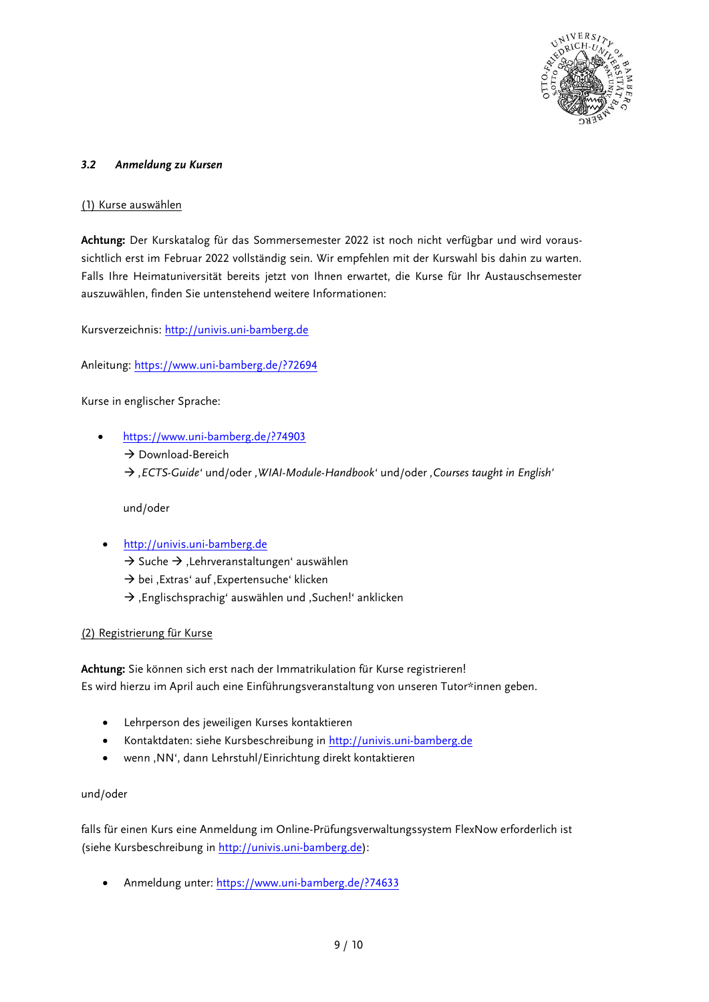

# *3.2 Anmeldung zu Kursen*

# (1) Kurse auswählen

**Achtung:** Der Kurskatalog für das Sommersemester 2022 ist noch nicht verfügbar und wird voraussichtlich erst im Februar 2022 vollständig sein. Wir empfehlen mit der Kurswahl bis dahin zu warten. Falls Ihre Heimatuniversität bereits jetzt von Ihnen erwartet, die Kurse für Ihr Austauschsemester auszuwählen, finden Sie untenstehend weitere Informationen:

Kursverzeichnis: [http://univis.uni-bamberg.de](http://univis.uni-bamberg.de/)

Anleitung: https://www.uni-bamberg.de/?72694

Kurse in englischer Sprache:

 [https://www.uni-bamberg.de/?74903](https://www.uni-bamberg.de/?74903%20)  $\rightarrow$  Download-Bereich *'ECTS-Guide'* und/oder *'WIAI-Module-Handbook'* und/oder *'Courses taught in English'*

und/oder

- [http://univis.uni-bamberg.de](http://univis.uni-bamberg.de/)
	- $\rightarrow$  Suche  $\rightarrow$  , Lehrveranstaltungen' auswählen
	- $\rightarrow$  bei , Extras' auf , Expertensuche' klicken
	- $\rightarrow$  , Englischsprachig' auswählen und , Suchen!' anklicken

# (2) Registrierung für Kurse

**Achtung:** Sie können sich erst nach der Immatrikulation für Kurse registrieren! Es wird hierzu im April auch eine Einführungsveranstaltung von unseren Tutor\*innen geben.

- Lehrperson des jeweiligen Kurses kontaktieren
- Kontaktdaten: siehe Kursbeschreibung in [http://univis.uni-bamberg.de](http://univis.uni-bamberg.de/)
- wenn ,NN', dann Lehrstuhl/Einrichtung direkt kontaktieren

# und/oder

falls für einen Kurs eine Anmeldung im Online-Prüfungsverwaltungssystem FlexNow erforderlich ist (siehe Kursbeschreibung i[n http://univis.uni-bamberg.de\)](http://univis.uni-bamberg.de/):

Anmeldung unter:<https://www.uni-bamberg.de/?74633>